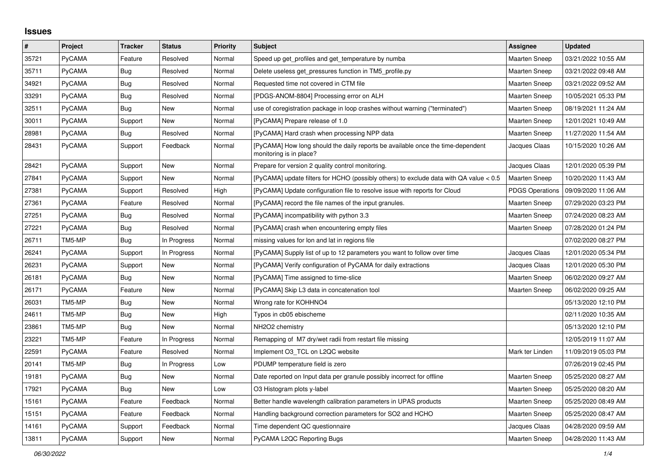## **Issues**

| $\vert$ # | Project       | <b>Tracker</b> | <b>Status</b> | <b>Priority</b> | <b>Subject</b>                                                                                             | Assignee               | <b>Updated</b>      |
|-----------|---------------|----------------|---------------|-----------------|------------------------------------------------------------------------------------------------------------|------------------------|---------------------|
| 35721     | PyCAMA        | Feature        | Resolved      | Normal          | Speed up get profiles and get temperature by numba                                                         | <b>Maarten Sneep</b>   | 03/21/2022 10:55 AM |
| 35711     | <b>PyCAMA</b> | <b>Bug</b>     | Resolved      | Normal          | Delete useless get pressures function in TM5 profile.py                                                    | <b>Maarten Sneep</b>   | 03/21/2022 09:48 AM |
| 34921     | PyCAMA        | Bug            | Resolved      | Normal          | Requested time not covered in CTM file                                                                     | <b>Maarten Sneep</b>   | 03/21/2022 09:52 AM |
| 33291     | <b>PyCAMA</b> | Bug            | Resolved      | Normal          | [PDGS-ANOM-8804] Processing error on ALH                                                                   | <b>Maarten Sneep</b>   | 10/05/2021 05:33 PM |
| 32511     | <b>PyCAMA</b> | Bug            | New           | Normal          | use of coregistration package in loop crashes without warning ("terminated")                               | Maarten Sneep          | 08/19/2021 11:24 AM |
| 30011     | <b>PyCAMA</b> | Support        | New           | Normal          | [PyCAMA] Prepare release of 1.0                                                                            | Maarten Sneep          | 12/01/2021 10:49 AM |
| 28981     | <b>PyCAMA</b> | Bug            | Resolved      | Normal          | [PyCAMA] Hard crash when processing NPP data                                                               | <b>Maarten Sneep</b>   | 11/27/2020 11:54 AM |
| 28431     | <b>PyCAMA</b> | Support        | Feedback      | Normal          | [PyCAMA] How long should the daily reports be available once the time-dependent<br>monitoring is in place? | Jacques Claas          | 10/15/2020 10:26 AM |
| 28421     | PyCAMA        | Support        | New           | Normal          | Prepare for version 2 quality control monitoring.                                                          | Jacques Claas          | 12/01/2020 05:39 PM |
| 27841     | PyCAMA        | Support        | New           | Normal          | [PyCAMA] update filters for HCHO (possibly others) to exclude data with QA value < 0.5                     | Maarten Sneep          | 10/20/2020 11:43 AM |
| 27381     | PyCAMA        | Support        | Resolved      | High            | [PyCAMA] Update configuration file to resolve issue with reports for Cloud                                 | <b>PDGS Operations</b> | 09/09/2020 11:06 AM |
| 27361     | PyCAMA        | Feature        | Resolved      | Normal          | [PyCAMA] record the file names of the input granules.                                                      | Maarten Sneep          | 07/29/2020 03:23 PM |
| 27251     | PyCAMA        | <b>Bug</b>     | Resolved      | Normal          | [PyCAMA] incompatibility with python 3.3                                                                   | <b>Maarten Sneep</b>   | 07/24/2020 08:23 AM |
| 27221     | PyCAMA        | <b>Bug</b>     | Resolved      | Normal          | [PyCAMA] crash when encountering empty files                                                               | Maarten Sneep          | 07/28/2020 01:24 PM |
| 26711     | TM5-MP        | Bug            | In Progress   | Normal          | missing values for lon and lat in regions file                                                             |                        | 07/02/2020 08:27 PM |
| 26241     | PyCAMA        | Support        | In Progress   | Normal          | [PyCAMA] Supply list of up to 12 parameters you want to follow over time                                   | Jacques Claas          | 12/01/2020 05:34 PM |
| 26231     | <b>PyCAMA</b> | Support        | <b>New</b>    | Normal          | [PyCAMA] Verify configuration of PyCAMA for daily extractions                                              | Jacques Claas          | 12/01/2020 05:30 PM |
| 26181     | PyCAMA        | Bug            | New           | Normal          | [PyCAMA] Time assigned to time-slice                                                                       | Maarten Sneep          | 06/02/2020 09:27 AM |
| 26171     | <b>PyCAMA</b> | Feature        | New           | Normal          | [PyCAMA] Skip L3 data in concatenation tool                                                                | Maarten Sneep          | 06/02/2020 09:25 AM |
| 26031     | TM5-MP        | Bug            | New           | Normal          | Wrong rate for KOHHNO4                                                                                     |                        | 05/13/2020 12:10 PM |
| 24611     | TM5-MP        | Bug            | New           | High            | Typos in cb05 ebischeme                                                                                    |                        | 02/11/2020 10:35 AM |
| 23861     | TM5-MP        | <b>Bug</b>     | New           | Normal          | NH <sub>2</sub> O <sub>2</sub> chemistry                                                                   |                        | 05/13/2020 12:10 PM |
| 23221     | TM5-MP        | Feature        | In Progress   | Normal          | Remapping of M7 dry/wet radii from restart file missing                                                    |                        | 12/05/2019 11:07 AM |
| 22591     | PyCAMA        | Feature        | Resolved      | Normal          | Implement O3_TCL on L2QC website                                                                           | Mark ter Linden        | 11/09/2019 05:03 PM |
| 20141     | TM5-MP        | Bug            | In Progress   | Low             | PDUMP temperature field is zero                                                                            |                        | 07/26/2019 02:45 PM |
| 19181     | PyCAMA        | <b>Bug</b>     | <b>New</b>    | Normal          | Date reported on Input data per granule possibly incorrect for offline                                     | <b>Maarten Sneep</b>   | 05/25/2020 08:27 AM |
| 17921     | PyCAMA        | <b>Bug</b>     | New           | Low             | O3 Histogram plots y-label                                                                                 | Maarten Sneep          | 05/25/2020 08:20 AM |
| 15161     | <b>PyCAMA</b> | Feature        | Feedback      | Normal          | Better handle wavelength calibration parameters in UPAS products                                           | <b>Maarten Sneep</b>   | 05/25/2020 08:49 AM |
| 15151     | <b>PyCAMA</b> | Feature        | Feedback      | Normal          | Handling background correction parameters for SO2 and HCHO                                                 | <b>Maarten Sneep</b>   | 05/25/2020 08:47 AM |
| 14161     | <b>PyCAMA</b> | Support        | Feedback      | Normal          | Time dependent QC questionnaire                                                                            | Jacques Claas          | 04/28/2020 09:59 AM |
| 13811     | PyCAMA        | Support        | New           | Normal          | PyCAMA L2QC Reporting Bugs                                                                                 | <b>Maarten Sneep</b>   | 04/28/2020 11:43 AM |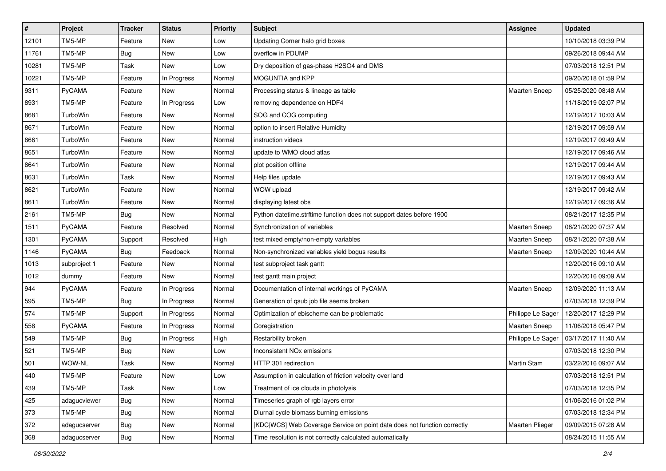| $\sharp$ | Project       | <b>Tracker</b> | <b>Status</b> | <b>Priority</b> | Subject                                                                  | <b>Assignee</b>        | <b>Updated</b>      |
|----------|---------------|----------------|---------------|-----------------|--------------------------------------------------------------------------|------------------------|---------------------|
| 12101    | TM5-MP        | Feature        | <b>New</b>    | Low             | Updating Corner halo grid boxes                                          |                        | 10/10/2018 03:39 PM |
| 11761    | TM5-MP        | Bug            | <b>New</b>    | Low             | overflow in PDUMP                                                        |                        | 09/26/2018 09:44 AM |
| 10281    | TM5-MP        | Task           | New           | Low             | Dry deposition of gas-phase H2SO4 and DMS                                |                        | 07/03/2018 12:51 PM |
| 10221    | TM5-MP        | Feature        | In Progress   | Normal          | <b>MOGUNTIA and KPP</b>                                                  |                        | 09/20/2018 01:59 PM |
| 9311     | PyCAMA        | Feature        | <b>New</b>    | Normal          | Processing status & lineage as table                                     | <b>Maarten Sneep</b>   | 05/25/2020 08:48 AM |
| 8931     | TM5-MP        | Feature        | In Progress   | Low             | removing dependence on HDF4                                              |                        | 11/18/2019 02:07 PM |
| 8681     | TurboWin      | Feature        | New           | Normal          | SOG and COG computing                                                    |                        | 12/19/2017 10:03 AM |
| 8671     | TurboWin      | Feature        | New           | Normal          | option to insert Relative Humidity                                       |                        | 12/19/2017 09:59 AM |
| 8661     | TurboWin      | Feature        | New           | Normal          | instruction videos                                                       |                        | 12/19/2017 09:49 AM |
| 8651     | TurboWin      | Feature        | <b>New</b>    | Normal          | update to WMO cloud atlas                                                |                        | 12/19/2017 09:46 AM |
| 8641     | TurboWin      | Feature        | New           | Normal          | plot position offline                                                    |                        | 12/19/2017 09:44 AM |
| 8631     | TurboWin      | Task           | <b>New</b>    | Normal          | Help files update                                                        |                        | 12/19/2017 09:43 AM |
| 8621     | TurboWin      | Feature        | New           | Normal          | WOW upload                                                               |                        | 12/19/2017 09:42 AM |
| 8611     | TurboWin      | Feature        | New           | Normal          | displaying latest obs                                                    |                        | 12/19/2017 09:36 AM |
| 2161     | TM5-MP        | Bug            | <b>New</b>    | Normal          | Python datetime.strftime function does not support dates before 1900     |                        | 08/21/2017 12:35 PM |
| 1511     | <b>PyCAMA</b> | Feature        | Resolved      | Normal          | Synchronization of variables                                             | Maarten Sneep          | 08/21/2020 07:37 AM |
| 1301     | PyCAMA        | Support        | Resolved      | High            | test mixed empty/non-empty variables                                     | <b>Maarten Sneep</b>   | 08/21/2020 07:38 AM |
| 1146     | <b>PyCAMA</b> | <b>Bug</b>     | Feedback      | Normal          | Non-synchronized variables yield bogus results                           | Maarten Sneep          | 12/09/2020 10:44 AM |
| 1013     | subproject 1  | Feature        | New           | Normal          | test subproject task gantt                                               |                        | 12/20/2016 09:10 AM |
| 1012     | dummy         | Feature        | <b>New</b>    | Normal          | test gantt main project                                                  |                        | 12/20/2016 09:09 AM |
| 944      | <b>PyCAMA</b> | Feature        | In Progress   | Normal          | Documentation of internal workings of PyCAMA                             | <b>Maarten Sneep</b>   | 12/09/2020 11:13 AM |
| 595      | TM5-MP        | <b>Bug</b>     | In Progress   | Normal          | Generation of qsub job file seems broken                                 |                        | 07/03/2018 12:39 PM |
| 574      | TM5-MP        | Support        | In Progress   | Normal          | Optimization of ebischeme can be problematic                             | Philippe Le Sager      | 12/20/2017 12:29 PM |
| 558      | PyCAMA        | Feature        | In Progress   | Normal          | Coregistration                                                           | Maarten Sneep          | 11/06/2018 05:47 PM |
| 549      | TM5-MP        | <b>Bug</b>     | In Progress   | High            | Restarbility broken                                                      | Philippe Le Sager      | 03/17/2017 11:40 AM |
| 521      | TM5-MP        | <b>Bug</b>     | New           | Low             | Inconsistent NO <sub>x</sub> emissions                                   |                        | 07/03/2018 12:30 PM |
| 501      | WOW-NL        | Task           | <b>New</b>    | Normal          | HTTP 301 redirection                                                     | <b>Martin Stam</b>     | 03/22/2016 09:07 AM |
| 440      | TM5-MP        | Feature        | New           | Low             | Assumption in calculation of friction velocity over land                 |                        | 07/03/2018 12:51 PM |
| 439      | TM5-MP        | Task           | New           | Low             | Treatment of ice clouds in photolysis                                    |                        | 07/03/2018 12:35 PM |
| 425      | adagucviewer  | <b>Bug</b>     | New           | Normal          | Timeseries graph of rgb layers error                                     |                        | 01/06/2016 01:02 PM |
| 373      | TM5-MP        | <b>Bug</b>     | New           | Normal          | Diurnal cycle biomass burning emissions                                  |                        | 07/03/2018 12:34 PM |
| 372      | adagucserver  | Bug            | New           | Normal          | [KDC WCS] Web Coverage Service on point data does not function correctly | <b>Maarten Plieger</b> | 09/09/2015 07:28 AM |
| 368      | adagucserver  | Bug            | New           | Normal          | Time resolution is not correctly calculated automatically                |                        | 08/24/2015 11:55 AM |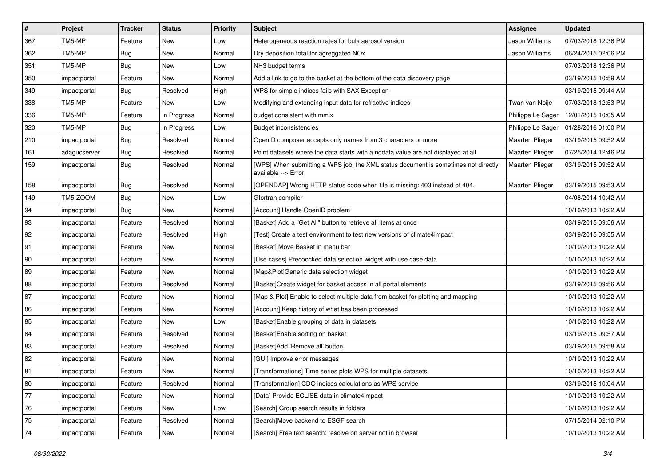| $\vert$ # | Project      | <b>Tracker</b> | <b>Status</b> | <b>Priority</b> | Subject                                                                                                   | Assignee               | <b>Updated</b>      |
|-----------|--------------|----------------|---------------|-----------------|-----------------------------------------------------------------------------------------------------------|------------------------|---------------------|
| 367       | TM5-MP       | Feature        | New           | Low             | Heterogeneous reaction rates for bulk aerosol version                                                     | Jason Williams         | 07/03/2018 12:36 PM |
| 362       | TM5-MP       | <b>Bug</b>     | New           | Normal          | Dry deposition total for agreggated NOx                                                                   | Jason Williams         | 06/24/2015 02:06 PM |
| 351       | TM5-MP       | <b>Bug</b>     | New           | Low             | NH3 budget terms                                                                                          |                        | 07/03/2018 12:36 PM |
| 350       | impactportal | Feature        | New           | Normal          | Add a link to go to the basket at the bottom of the data discovery page                                   |                        | 03/19/2015 10:59 AM |
| 349       | impactportal | Bug            | Resolved      | High            | WPS for simple indices fails with SAX Exception                                                           |                        | 03/19/2015 09:44 AM |
| 338       | TM5-MP       | Feature        | <b>New</b>    | Low             | Modifying and extending input data for refractive indices                                                 | Twan van Noije         | 07/03/2018 12:53 PM |
| 336       | TM5-MP       | Feature        | In Progress   | Normal          | budget consistent with mmix                                                                               | Philippe Le Sager      | 12/01/2015 10:05 AM |
| 320       | TM5-MP       | <b>Bug</b>     | In Progress   | Low             | <b>Budget inconsistencies</b>                                                                             | Philippe Le Sager      | 01/28/2016 01:00 PM |
| 210       | impactportal | <b>Bug</b>     | Resolved      | Normal          | OpenID composer accepts only names from 3 characters or more                                              | Maarten Plieger        | 03/19/2015 09:52 AM |
| 161       | adagucserver | <b>Bug</b>     | Resolved      | Normal          | Point datasets where the data starts with a nodata value are not displayed at all                         | <b>Maarten Plieger</b> | 07/25/2014 12:46 PM |
| 159       | impactportal | <b>Bug</b>     | Resolved      | Normal          | [WPS] When submitting a WPS job, the XML status document is sometimes not directly<br>available --> Error | <b>Maarten Plieger</b> | 03/19/2015 09:52 AM |
| 158       | impactportal | <b>Bug</b>     | Resolved      | Normal          | [OPENDAP] Wrong HTTP status code when file is missing: 403 instead of 404.                                | Maarten Plieger        | 03/19/2015 09:53 AM |
| 149       | TM5-ZOOM     | <b>Bug</b>     | New           | Low             | Gfortran compiler                                                                                         |                        | 04/08/2014 10:42 AM |
| 94        | impactportal | <b>Bug</b>     | New           | Normal          | [Account] Handle OpenID problem                                                                           |                        | 10/10/2013 10:22 AM |
| 93        | impactportal | Feature        | Resolved      | Normal          | [Basket] Add a "Get All" button to retrieve all items at once                                             |                        | 03/19/2015 09:56 AM |
| 92        | impactportal | Feature        | Resolved      | High            | [Test] Create a test environment to test new versions of climate4impact                                   |                        | 03/19/2015 09:55 AM |
| 91        | impactportal | Feature        | New           | Normal          | [Basket] Move Basket in menu bar                                                                          |                        | 10/10/2013 10:22 AM |
| 90        | impactportal | Feature        | New           | Normal          | [Use cases] Precoocked data selection widget with use case data                                           |                        | 10/10/2013 10:22 AM |
| 89        | impactportal | Feature        | New           | Normal          | [Map&Plot]Generic data selection widget                                                                   |                        | 10/10/2013 10:22 AM |
| 88        | impactportal | Feature        | Resolved      | Normal          | [Basket]Create widget for basket access in all portal elements                                            |                        | 03/19/2015 09:56 AM |
| 87        | impactportal | Feature        | New           | Normal          | [Map & Plot] Enable to select multiple data from basket for plotting and mapping                          |                        | 10/10/2013 10:22 AM |
| 86        | impactportal | Feature        | New           | Normal          | [Account] Keep history of what has been processed                                                         |                        | 10/10/2013 10:22 AM |
| 85        | impactportal | Feature        | <b>New</b>    | Low             | [Basket]Enable grouping of data in datasets                                                               |                        | 10/10/2013 10:22 AM |
| 84        | impactportal | Feature        | Resolved      | Normal          | [Basket]Enable sorting on basket                                                                          |                        | 03/19/2015 09:57 AM |
| 83        | impactportal | Feature        | Resolved      | Normal          | [Basket]Add 'Remove all' button                                                                           |                        | 03/19/2015 09:58 AM |
| 82        | impactportal | Feature        | New           | Normal          | [GUI] Improve error messages                                                                              |                        | 10/10/2013 10:22 AM |
| 81        | impactportal | Feature        | New           | Normal          | [Transformations] Time series plots WPS for multiple datasets                                             |                        | 10/10/2013 10:22 AM |
| 80        | impactportal | Feature        | Resolved      | Normal          | [Transformation] CDO indices calculations as WPS service                                                  |                        | 03/19/2015 10:04 AM |
| $77$      | impactportal | Feature        | New           | Normal          | [Data] Provide ECLISE data in climate4impact                                                              |                        | 10/10/2013 10:22 AM |
| 76        | impactportal | Feature        | New           | Low             | [Search] Group search results in folders                                                                  |                        | 10/10/2013 10:22 AM |
| $75\,$    | impactportal | Feature        | Resolved      | Normal          | [Search]Move backend to ESGF search                                                                       |                        | 07/15/2014 02:10 PM |
| 74        | impactportal | Feature        | New           | Normal          | [Search] Free text search: resolve on server not in browser                                               |                        | 10/10/2013 10:22 AM |